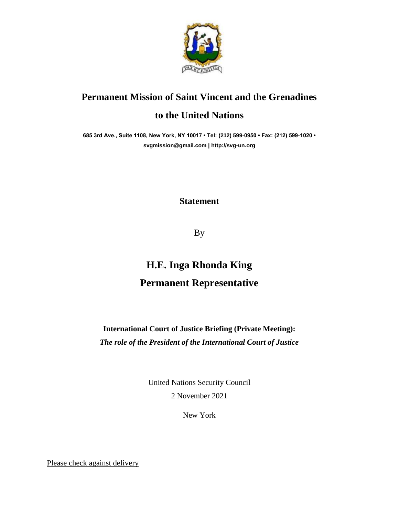

## **Permanent Mission of Saint Vincent and the Grenadines**

## **to the United Nations**

**685 3rd Ave., Suite 1108, New York, NY 10017 • Tel: (212) 599-0950 • Fax: (212) 599-1020 • [svgmission@gmail.com](mailto:svgmission@gmail.com) | [http://svg-un.org](http://svg-un.org/)**

## **Statement**

By

## **H.E. Inga Rhonda King Permanent Representative**

**International Court of Justice Briefing (Private Meeting):**  *The role of the President of the International Court of Justice*

> United Nations Security Council 2 November 2021

> > New York

Please check against delivery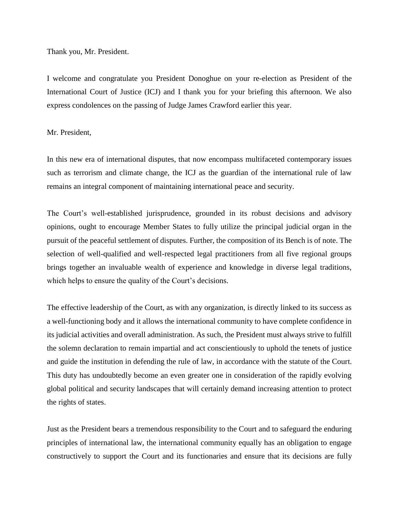Thank you, Mr. President.

I welcome and congratulate you President Donoghue on your re-election as President of the International Court of Justice (ICJ) and I thank you for your briefing this afternoon. We also express condolences on the passing of Judge James Crawford earlier this year.

Mr. President,

In this new era of international disputes, that now encompass multifaceted contemporary issues such as terrorism and climate change, the ICJ as the guardian of the international rule of law remains an integral component of maintaining international peace and security.

The Court's well-established jurisprudence, grounded in its robust decisions and advisory opinions, ought to encourage Member States to fully utilize the principal judicial organ in the pursuit of the peaceful settlement of disputes. Further, the composition of its Bench is of note. The selection of well-qualified and well-respected legal practitioners from all five regional groups brings together an invaluable wealth of experience and knowledge in diverse legal traditions, which helps to ensure the quality of the Court's decisions.

The effective leadership of the Court, as with any organization, is directly linked to its success as a well-functioning body and it allows the international community to have complete confidence in its judicial activities and overall administration. As such, the President must always strive to fulfill the solemn declaration to remain impartial and act conscientiously to uphold the tenets of justice and guide the institution in defending the rule of law, in accordance with the statute of the Court. This duty has undoubtedly become an even greater one in consideration of the rapidly evolving global political and security landscapes that will certainly demand increasing attention to protect the rights of states.

Just as the President bears a tremendous responsibility to the Court and to safeguard the enduring principles of international law, the international community equally has an obligation to engage constructively to support the Court and its functionaries and ensure that its decisions are fully